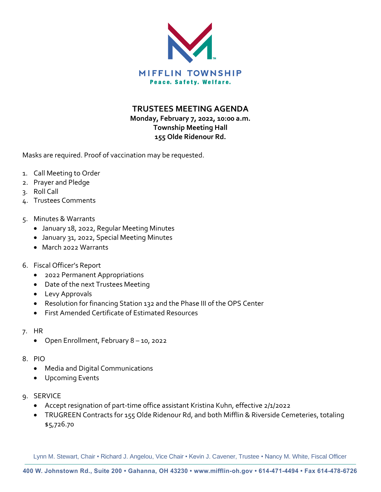

## **TRUSTEES MEETING AGENDA**

## **Monday, February 7, 2022, 10:00 a.m. Township Meeting Hall 155 Olde Ridenour Rd.**

Masks are required. Proof of vaccination may be requested.

- 1. Call Meeting to Order
- 2. Prayer and Pledge
- 3. Roll Call
- 4. Trustees Comments
- 5. Minutes & Warrants
	- January 18, 2022, Regular Meeting Minutes
	- January 31, 2022, Special Meeting Minutes
	- March 2022 Warrants
- 6. Fiscal Officer's Report
	- 2022 Permanent Appropriations
	- Date of the next Trustees Meeting
	- Levy Approvals
	- Resolution for financing Station 132 and the Phase III of the OPS Center
	- First Amended Certificate of Estimated Resources
- 7. HR
	- Open Enrollment, February 8 10, 2022
- 8. PIO
	- Media and Digital Communications
	- Upcoming Events
- 9. SERVICE
	- Accept resignation of part-time office assistant Kristina Kuhn, effective 2/1/2022
	- TRUGREEN Contracts for 155 Olde Ridenour Rd, and both Mifflin & Riverside Cemeteries, totaling \$5,726.70

Lynn M. Stewart, Chair • Richard J. Angelou, Vice Chair • Kevin J. Cavener, Trustee • Nancy M. White, Fiscal Officer